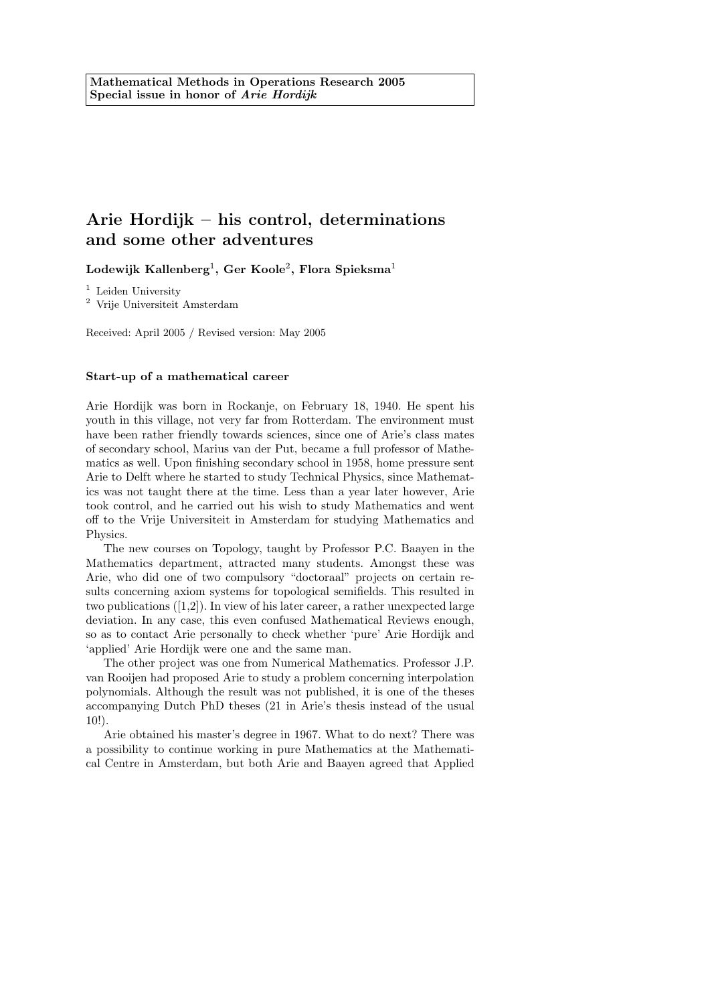# Arie Hordijk – his control, determinations and some other adventures

 ${\rm Lodewijk}$  Kallenberg $^1,$  Ger Koole $^2,$  Flora Spieksma $^1$ 

<sup>1</sup> Leiden University

<sup>2</sup> Vrije Universiteit Amsterdam

Received: April 2005 / Revised version: May 2005

#### Start-up of a mathematical career

Arie Hordijk was born in Rockanje, on February 18, 1940. He spent his youth in this village, not very far from Rotterdam. The environment must have been rather friendly towards sciences, since one of Arie's class mates of secondary school, Marius van der Put, became a full professor of Mathematics as well. Upon finishing secondary school in 1958, home pressure sent Arie to Delft where he started to study Technical Physics, since Mathematics was not taught there at the time. Less than a year later however, Arie took control, and he carried out his wish to study Mathematics and went off to the Vrije Universiteit in Amsterdam for studying Mathematics and Physics.

The new courses on Topology, taught by Professor P.C. Baayen in the Mathematics department, attracted many students. Amongst these was Arie, who did one of two compulsory "doctoraal" projects on certain results concerning axiom systems for topological semifields. This resulted in two publications ([1,2]). In view of his later career, a rather unexpected large deviation. In any case, this even confused Mathematical Reviews enough, so as to contact Arie personally to check whether 'pure' Arie Hordijk and 'applied' Arie Hordijk were one and the same man.

The other project was one from Numerical Mathematics. Professor J.P. van Rooijen had proposed Arie to study a problem concerning interpolation polynomials. Although the result was not published, it is one of the theses accompanying Dutch PhD theses (21 in Arie's thesis instead of the usual 10!).

Arie obtained his master's degree in 1967. What to do next? There was a possibility to continue working in pure Mathematics at the Mathematical Centre in Amsterdam, but both Arie and Baayen agreed that Applied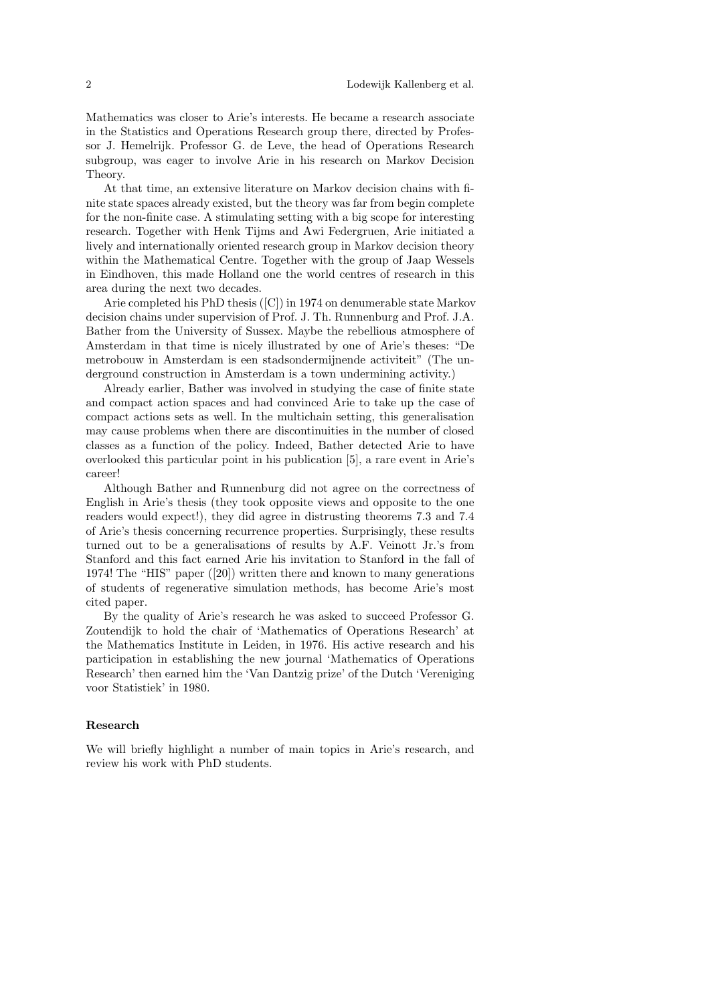Mathematics was closer to Arie's interests. He became a research associate in the Statistics and Operations Research group there, directed by Professor J. Hemelrijk. Professor G. de Leve, the head of Operations Research subgroup, was eager to involve Arie in his research on Markov Decision Theory.

At that time, an extensive literature on Markov decision chains with finite state spaces already existed, but the theory was far from begin complete for the non-finite case. A stimulating setting with a big scope for interesting research. Together with Henk Tijms and Awi Federgruen, Arie initiated a lively and internationally oriented research group in Markov decision theory within the Mathematical Centre. Together with the group of Jaap Wessels in Eindhoven, this made Holland one the world centres of research in this area during the next two decades.

Arie completed his PhD thesis ([C]) in 1974 on denumerable state Markov decision chains under supervision of Prof. J. Th. Runnenburg and Prof. J.A. Bather from the University of Sussex. Maybe the rebellious atmosphere of Amsterdam in that time is nicely illustrated by one of Arie's theses: "De metrobouw in Amsterdam is een stadsondermijnende activiteit" (The underground construction in Amsterdam is a town undermining activity.)

Already earlier, Bather was involved in studying the case of finite state and compact action spaces and had convinced Arie to take up the case of compact actions sets as well. In the multichain setting, this generalisation may cause problems when there are discontinuities in the number of closed classes as a function of the policy. Indeed, Bather detected Arie to have overlooked this particular point in his publication [5], a rare event in Arie's career!

Although Bather and Runnenburg did not agree on the correctness of English in Arie's thesis (they took opposite views and opposite to the one readers would expect!), they did agree in distrusting theorems 7.3 and 7.4 of Arie's thesis concerning recurrence properties. Surprisingly, these results turned out to be a generalisations of results by A.F. Veinott Jr.'s from Stanford and this fact earned Arie his invitation to Stanford in the fall of 1974! The "HIS" paper ([20]) written there and known to many generations of students of regenerative simulation methods, has become Arie's most cited paper.

By the quality of Arie's research he was asked to succeed Professor G. Zoutendijk to hold the chair of 'Mathematics of Operations Research' at the Mathematics Institute in Leiden, in 1976. His active research and his participation in establishing the new journal 'Mathematics of Operations Research' then earned him the 'Van Dantzig prize' of the Dutch 'Vereniging voor Statistiek' in 1980.

## Research

We will briefly highlight a number of main topics in Arie's research, and review his work with PhD students.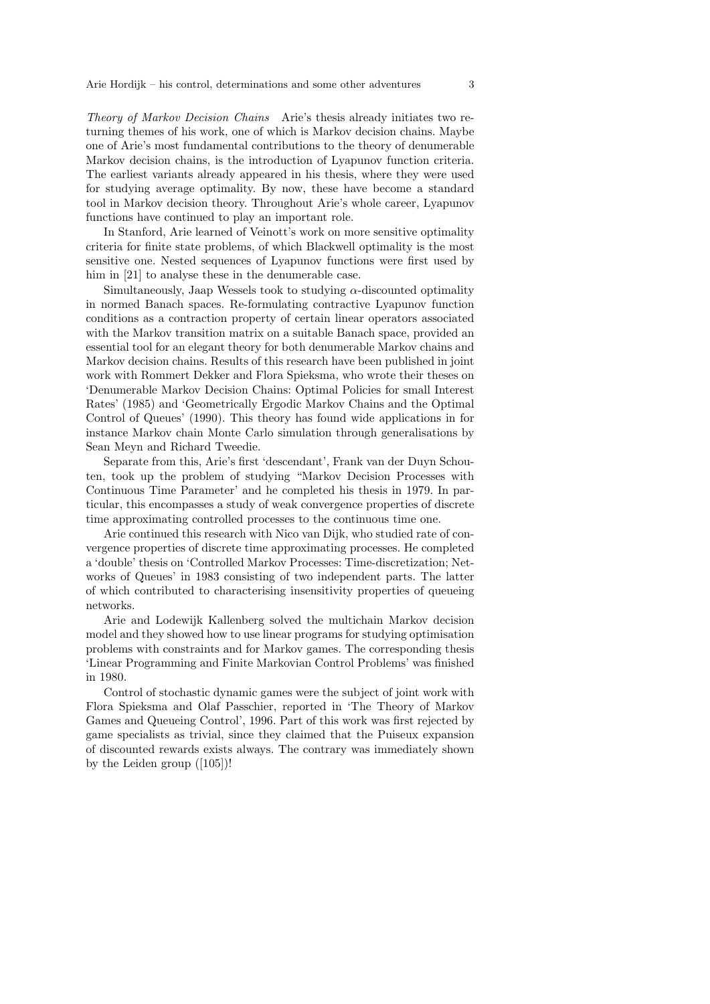Theory of Markov Decision Chains Arie's thesis already initiates two returning themes of his work, one of which is Markov decision chains. Maybe one of Arie's most fundamental contributions to the theory of denumerable Markov decision chains, is the introduction of Lyapunov function criteria. The earliest variants already appeared in his thesis, where they were used for studying average optimality. By now, these have become a standard tool in Markov decision theory. Throughout Arie's whole career, Lyapunov functions have continued to play an important role.

In Stanford, Arie learned of Veinott's work on more sensitive optimality criteria for finite state problems, of which Blackwell optimality is the most sensitive one. Nested sequences of Lyapunov functions were first used by him in [21] to analyse these in the denumerable case.

Simultaneously, Jaap Wessels took to studying  $\alpha$ -discounted optimality in normed Banach spaces. Re-formulating contractive Lyapunov function conditions as a contraction property of certain linear operators associated with the Markov transition matrix on a suitable Banach space, provided an essential tool for an elegant theory for both denumerable Markov chains and Markov decision chains. Results of this research have been published in joint work with Rommert Dekker and Flora Spieksma, who wrote their theses on 'Denumerable Markov Decision Chains: Optimal Policies for small Interest Rates' (1985) and 'Geometrically Ergodic Markov Chains and the Optimal Control of Queues' (1990). This theory has found wide applications in for instance Markov chain Monte Carlo simulation through generalisations by Sean Meyn and Richard Tweedie.

Separate from this, Arie's first 'descendant', Frank van der Duyn Schouten, took up the problem of studying "Markov Decision Processes with Continuous Time Parameter' and he completed his thesis in 1979. In particular, this encompasses a study of weak convergence properties of discrete time approximating controlled processes to the continuous time one.

Arie continued this research with Nico van Dijk, who studied rate of convergence properties of discrete time approximating processes. He completed a 'double' thesis on 'Controlled Markov Processes: Time-discretization; Networks of Queues' in 1983 consisting of two independent parts. The latter of which contributed to characterising insensitivity properties of queueing networks.

Arie and Lodewijk Kallenberg solved the multichain Markov decision model and they showed how to use linear programs for studying optimisation problems with constraints and for Markov games. The corresponding thesis 'Linear Programming and Finite Markovian Control Problems' was finished in 1980.

Control of stochastic dynamic games were the subject of joint work with Flora Spieksma and Olaf Passchier, reported in 'The Theory of Markov Games and Queueing Control', 1996. Part of this work was first rejected by game specialists as trivial, since they claimed that the Puiseux expansion of discounted rewards exists always. The contrary was immediately shown by the Leiden group ([105])!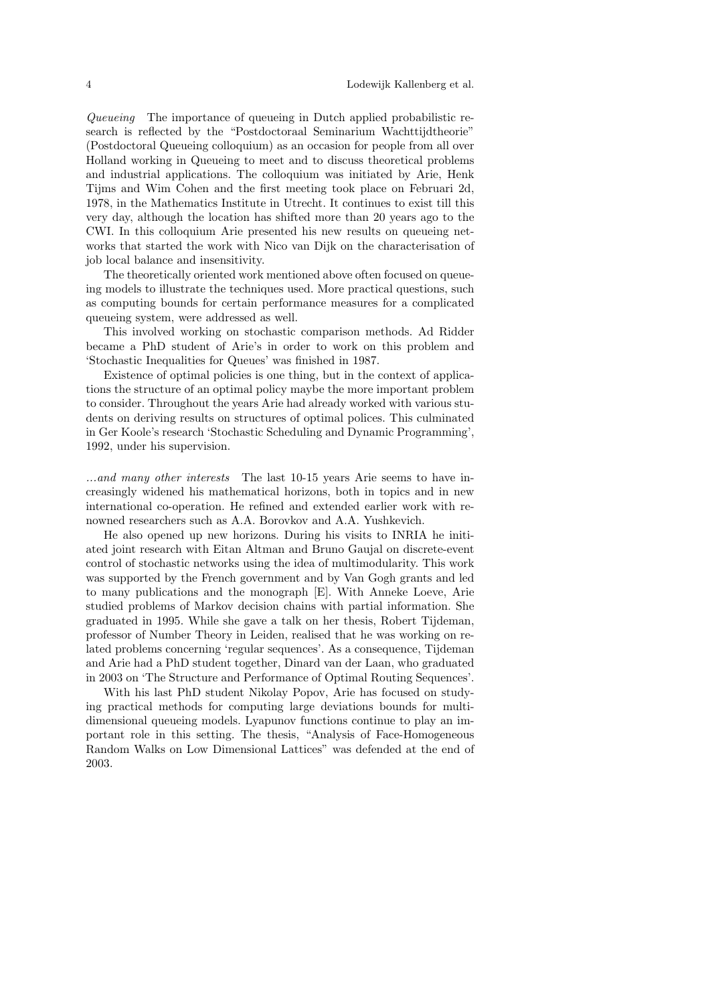Queueing The importance of queueing in Dutch applied probabilistic research is reflected by the "Postdoctoraal Seminarium Wachttijdtheorie" (Postdoctoral Queueing colloquium) as an occasion for people from all over Holland working in Queueing to meet and to discuss theoretical problems and industrial applications. The colloquium was initiated by Arie, Henk Tijms and Wim Cohen and the first meeting took place on Februari 2d, 1978, in the Mathematics Institute in Utrecht. It continues to exist till this very day, although the location has shifted more than 20 years ago to the CWI. In this colloquium Arie presented his new results on queueing networks that started the work with Nico van Dijk on the characterisation of job local balance and insensitivity.

The theoretically oriented work mentioned above often focused on queueing models to illustrate the techniques used. More practical questions, such as computing bounds for certain performance measures for a complicated queueing system, were addressed as well.

This involved working on stochastic comparison methods. Ad Ridder became a PhD student of Arie's in order to work on this problem and 'Stochastic Inequalities for Queues' was finished in 1987.

Existence of optimal policies is one thing, but in the context of applications the structure of an optimal policy maybe the more important problem to consider. Throughout the years Arie had already worked with various students on deriving results on structures of optimal polices. This culminated in Ger Koole's research 'Stochastic Scheduling and Dynamic Programming', 1992, under his supervision.

...and many other interests The last 10-15 years Arie seems to have increasingly widened his mathematical horizons, both in topics and in new international co-operation. He refined and extended earlier work with renowned researchers such as A.A. Borovkov and A.A. Yushkevich.

He also opened up new horizons. During his visits to INRIA he initiated joint research with Eitan Altman and Bruno Gaujal on discrete-event control of stochastic networks using the idea of multimodularity. This work was supported by the French government and by Van Gogh grants and led to many publications and the monograph [E]. With Anneke Loeve, Arie studied problems of Markov decision chains with partial information. She graduated in 1995. While she gave a talk on her thesis, Robert Tijdeman, professor of Number Theory in Leiden, realised that he was working on related problems concerning 'regular sequences'. As a consequence, Tijdeman and Arie had a PhD student together, Dinard van der Laan, who graduated in 2003 on 'The Structure and Performance of Optimal Routing Sequences'.

With his last PhD student Nikolay Popov, Arie has focused on studying practical methods for computing large deviations bounds for multidimensional queueing models. Lyapunov functions continue to play an important role in this setting. The thesis, "Analysis of Face-Homogeneous Random Walks on Low Dimensional Lattices" was defended at the end of 2003.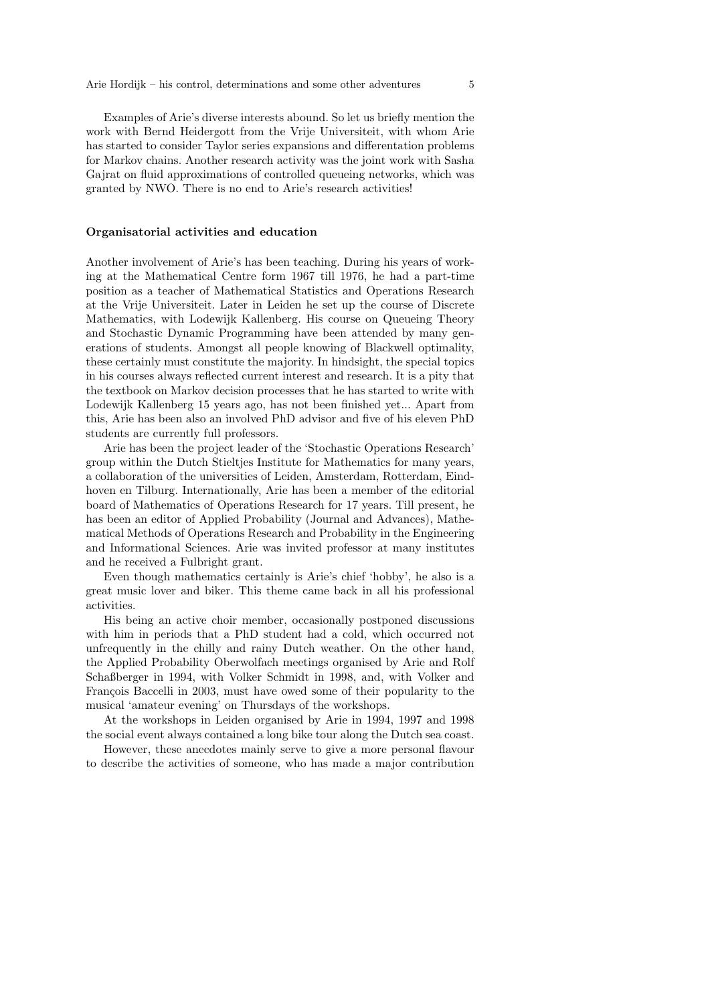Examples of Arie's diverse interests abound. So let us briefly mention the work with Bernd Heidergott from the Vrije Universiteit, with whom Arie has started to consider Taylor series expansions and differentation problems for Markov chains. Another research activity was the joint work with Sasha Gajrat on fluid approximations of controlled queueing networks, which was granted by NWO. There is no end to Arie's research activities!

# Organisatorial activities and education

Another involvement of Arie's has been teaching. During his years of working at the Mathematical Centre form 1967 till 1976, he had a part-time position as a teacher of Mathematical Statistics and Operations Research at the Vrije Universiteit. Later in Leiden he set up the course of Discrete Mathematics, with Lodewijk Kallenberg. His course on Queueing Theory and Stochastic Dynamic Programming have been attended by many generations of students. Amongst all people knowing of Blackwell optimality, these certainly must constitute the majority. In hindsight, the special topics in his courses always reflected current interest and research. It is a pity that the textbook on Markov decision processes that he has started to write with Lodewijk Kallenberg 15 years ago, has not been finished yet... Apart from this, Arie has been also an involved PhD advisor and five of his eleven PhD students are currently full professors.

Arie has been the project leader of the 'Stochastic Operations Research' group within the Dutch Stieltjes Institute for Mathematics for many years, a collaboration of the universities of Leiden, Amsterdam, Rotterdam, Eindhoven en Tilburg. Internationally, Arie has been a member of the editorial board of Mathematics of Operations Research for 17 years. Till present, he has been an editor of Applied Probability (Journal and Advances), Mathematical Methods of Operations Research and Probability in the Engineering and Informational Sciences. Arie was invited professor at many institutes and he received a Fulbright grant.

Even though mathematics certainly is Arie's chief 'hobby', he also is a great music lover and biker. This theme came back in all his professional activities.

His being an active choir member, occasionally postponed discussions with him in periods that a PhD student had a cold, which occurred not unfrequently in the chilly and rainy Dutch weather. On the other hand, the Applied Probability Oberwolfach meetings organised by Arie and Rolf Schaßberger in 1994, with Volker Schmidt in 1998, and, with Volker and François Baccelli in 2003, must have owed some of their popularity to the musical 'amateur evening' on Thursdays of the workshops.

At the workshops in Leiden organised by Arie in 1994, 1997 and 1998 the social event always contained a long bike tour along the Dutch sea coast.

However, these anecdotes mainly serve to give a more personal flavour to describe the activities of someone, who has made a major contribution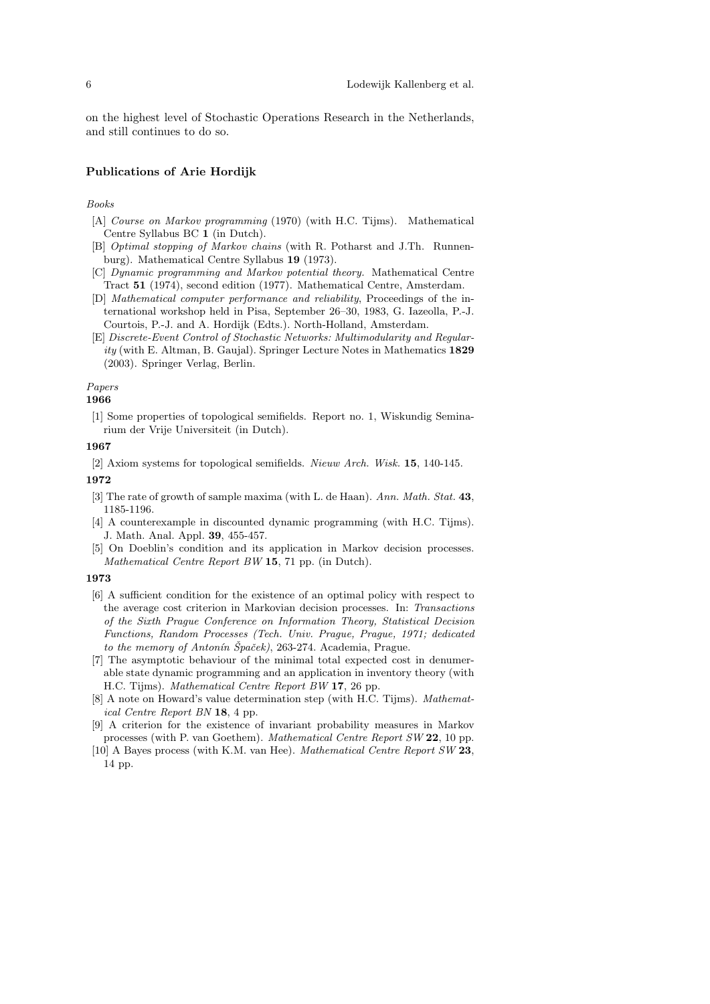on the highest level of Stochastic Operations Research in the Netherlands, and still continues to do so.

## Publications of Arie Hordijk

## Books

- [A] Course on Markov programming (1970) (with H.C. Tijms). Mathematical Centre Syllabus BC 1 (in Dutch).
- [B] Optimal stopping of Markov chains (with R. Potharst and J.Th. Runnenburg). Mathematical Centre Syllabus 19 (1973).
- [C] Dynamic programming and Markov potential theory. Mathematical Centre Tract 51 (1974), second edition (1977). Mathematical Centre, Amsterdam.
- [D] Mathematical computer performance and reliability, Proceedings of the international workshop held in Pisa, September 26–30, 1983, G. Iazeolla, P.-J. Courtois, P.-J. and A. Hordijk (Edts.). North-Holland, Amsterdam.
- [E] Discrete-Event Control of Stochastic Networks: Multimodularity and Regularity (with E. Altman, B. Gaujal). Springer Lecture Notes in Mathematics 1829 (2003). Springer Verlag, Berlin.

#### Papers

#### 1966

[1] Some properties of topological semifields. Report no. 1, Wiskundig Seminarium der Vrije Universiteit (in Dutch).

#### 1967

[2] Axiom systems for topological semifields. Nieuw Arch. Wisk. 15, 140-145.

# 1972

- [3] The rate of growth of sample maxima (with L. de Haan). Ann. Math. Stat. 43, 1185-1196.
- [4] A counterexample in discounted dynamic programming (with H.C. Tijms). J. Math. Anal. Appl. 39, 455-457.
- [5] On Doeblin's condition and its application in Markov decision processes. Mathematical Centre Report BW 15, 71 pp. (in Dutch).

- [6] A sufficient condition for the existence of an optimal policy with respect to the average cost criterion in Markovian decision processes. In: Transactions of the Sixth Prague Conference on Information Theory, Statistical Decision Functions, Random Processes (Tech. Univ. Prague, Prague, 1971; dedicated to the memory of Antonín Špaček), 263-274. Academia, Prague.
- [7] The asymptotic behaviour of the minimal total expected cost in denumerable state dynamic programming and an application in inventory theory (with H.C. Tijms). Mathematical Centre Report BW 17, 26 pp.
- [8] A note on Howard's value determination step (with H.C. Tijms). *Mathemat*ical Centre Report BN 18, 4 pp.
- [9] A criterion for the existence of invariant probability measures in Markov processes (with P. van Goethem). Mathematical Centre Report SW 22, 10 pp.
- [10] A Bayes process (with K.M. van Hee). Mathematical Centre Report SW 23, 14 pp.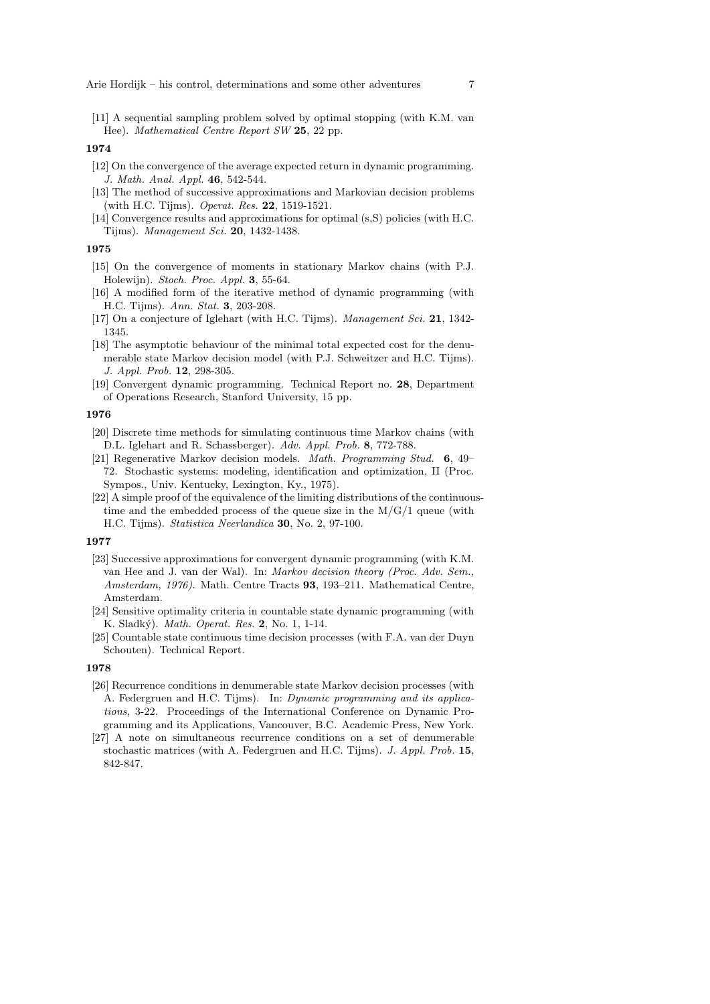[11] A sequential sampling problem solved by optimal stopping (with K.M. van Hee). Mathematical Centre Report SW 25, 22 pp.

## 1974

- [12] On the convergence of the average expected return in dynamic programming. J. Math. Anal. Appl. 46, 542-544.
- [13] The method of successive approximations and Markovian decision problems (with H.C. Tijms). Operat. Res. 22, 1519-1521.
- [14] Convergence results and approximations for optimal (s,S) policies (with H.C. Tijms). Management Sci. 20, 1432-1438.

#### 1975

- [15] On the convergence of moments in stationary Markov chains (with P.J. Holewijn). Stoch. Proc. Appl. 3, 55-64.
- [16] A modified form of the iterative method of dynamic programming (with H.C. Tijms). Ann. Stat. 3, 203-208.
- [17] On a conjecture of Iglehart (with H.C. Tijms). Management Sci. 21, 1342-1345.
- [18] The asymptotic behaviour of the minimal total expected cost for the denumerable state Markov decision model (with P.J. Schweitzer and H.C. Tijms). J. Appl. Prob. 12, 298-305.
- [19] Convergent dynamic programming. Technical Report no. 28, Department of Operations Research, Stanford University, 15 pp.

## 1976

- [20] Discrete time methods for simulating continuous time Markov chains (with D.L. Iglehart and R. Schassberger). Adv. Appl. Prob. 8, 772-788.
- [21] Regenerative Markov decision models. Math. Programming Stud. 6, 49– 72. Stochastic systems: modeling, identification and optimization, II (Proc. Sympos., Univ. Kentucky, Lexington, Ky., 1975).
- [22] A simple proof of the equivalence of the limiting distributions of the continuoustime and the embedded process of the queue size in the  $M/G/1$  queue (with H.C. Tijms). Statistica Neerlandica 30, No. 2, 97-100.

#### 1977

- [23] Successive approximations for convergent dynamic programming (with K.M. van Hee and J. van der Wal). In: Markov decision theory (Proc. Adv. Sem., Amsterdam, 1976). Math. Centre Tracts 93, 193–211. Mathematical Centre, Amsterdam.
- [24] Sensitive optimality criteria in countable state dynamic programming (with K. Sladký). *Math. Operat. Res.* 2, No. 1, 1-14.
- [25] Countable state continuous time decision processes (with F.A. van der Duyn Schouten). Technical Report.

- [26] Recurrence conditions in denumerable state Markov decision processes (with A. Federgruen and H.C. Tijms). In: Dynamic programming and its applications, 3-22. Proceedings of the International Conference on Dynamic Programming and its Applications, Vancouver, B.C. Academic Press, New York.
- [27] A note on simultaneous recurrence conditions on a set of denumerable stochastic matrices (with A. Federgruen and H.C. Tijms). J. Appl. Prob. 15, 842-847.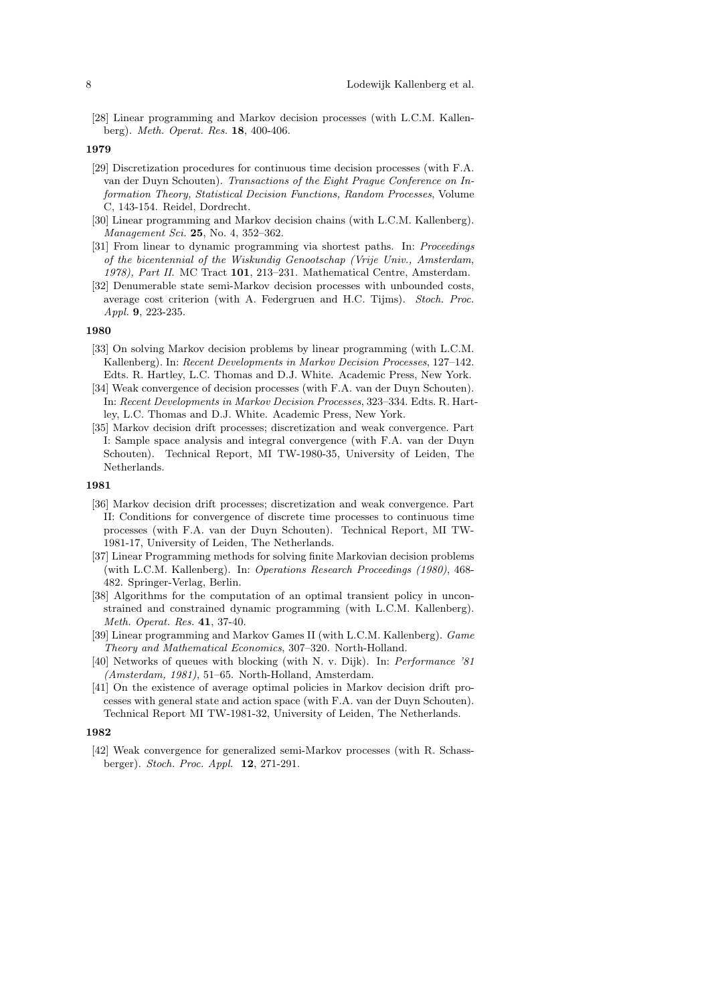[28] Linear programming and Markov decision processes (with L.C.M. Kallenberg). Meth. Operat. Res. 18, 400-406.

#### 1979

- [29] Discretization procedures for continuous time decision processes (with F.A. van der Duyn Schouten). Transactions of the Eight Prague Conference on Information Theory, Statistical Decision Functions, Random Processes, Volume C, 143-154. Reidel, Dordrecht.
- [30] Linear programming and Markov decision chains (with L.C.M. Kallenberg). Management Sci. 25, No. 4, 352–362.
- [31] From linear to dynamic programming via shortest paths. In: Proceedings of the bicentennial of the Wiskundig Genootschap (Vrije Univ., Amsterdam, 1978), Part II. MC Tract 101, 213–231. Mathematical Centre, Amsterdam.
- [32] Denumerable state semi-Markov decision processes with unbounded costs, average cost criterion (with A. Federgruen and H.C. Tijms). Stoch. Proc. Appl. 9, 223-235.

#### 1980

- [33] On solving Markov decision problems by linear programming (with L.C.M. Kallenberg). In: Recent Developments in Markov Decision Processes, 127–142. Edts. R. Hartley, L.C. Thomas and D.J. White. Academic Press, New York.
- [34] Weak convergence of decision processes (with F.A. van der Duyn Schouten). In: Recent Developments in Markov Decision Processes, 323–334. Edts. R. Hartley, L.C. Thomas and D.J. White. Academic Press, New York.
- [35] Markov decision drift processes; discretization and weak convergence. Part I: Sample space analysis and integral convergence (with F.A. van der Duyn Schouten). Technical Report, MI TW-1980-35, University of Leiden, The Netherlands.

## 1981

- [36] Markov decision drift processes; discretization and weak convergence. Part II: Conditions for convergence of discrete time processes to continuous time processes (with F.A. van der Duyn Schouten). Technical Report, MI TW-1981-17, University of Leiden, The Netherlands.
- [37] Linear Programming methods for solving finite Markovian decision problems (with L.C.M. Kallenberg). In: Operations Research Proceedings (1980), 468- 482. Springer-Verlag, Berlin.
- [38] Algorithms for the computation of an optimal transient policy in unconstrained and constrained dynamic programming (with L.C.M. Kallenberg). Meth. Operat. Res. 41, 37-40.
- [39] Linear programming and Markov Games II (with L.C.M. Kallenberg). Game Theory and Mathematical Economics, 307–320. North-Holland.
- [40] Networks of queues with blocking (with N. v. Dijk). In: Performance '81 (Amsterdam, 1981), 51–65. North-Holland, Amsterdam.
- [41] On the existence of average optimal policies in Markov decision drift processes with general state and action space (with F.A. van der Duyn Schouten). Technical Report MI TW-1981-32, University of Leiden, The Netherlands.

## 1982

[42] Weak convergence for generalized semi-Markov processes (with R. Schassberger). Stoch. Proc. Appl. 12, 271-291.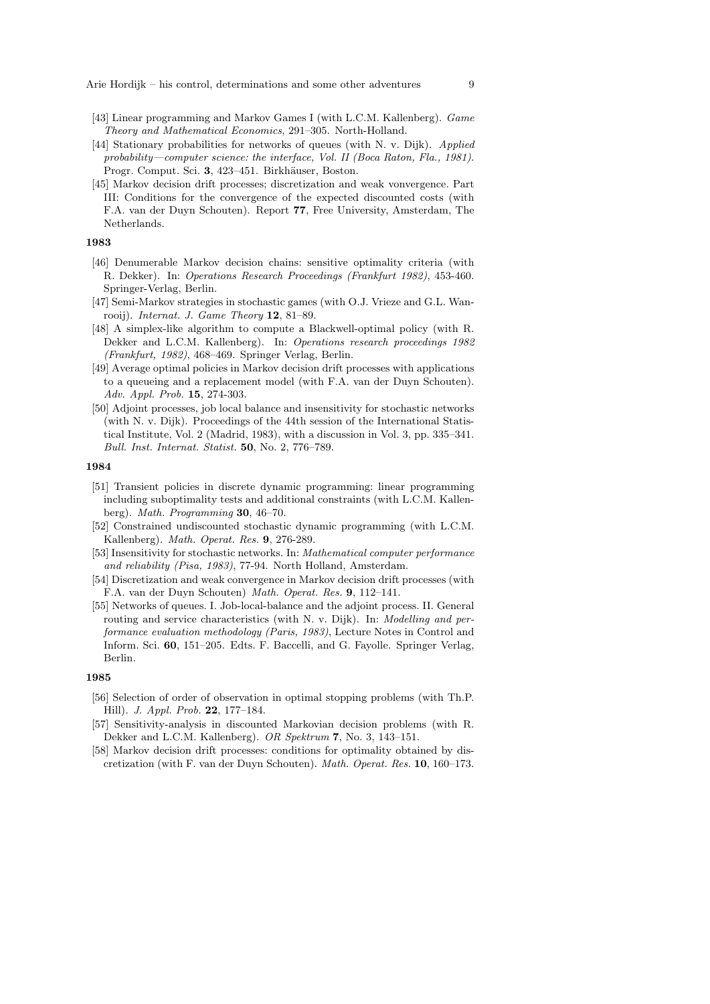- [43] Linear programming and Markov Games I (with L.C.M. Kallenberg). Game Theory and Mathematical Economics, 291–305. North-Holland.
- [44] Stationary probabilities for networks of queues (with N. v. Dijk). Applied probability—computer science: the interface, Vol. II (Boca Raton, Fla., 1981). Progr. Comput. Sci. 3, 423–451. Birkhäuser, Boston.
- [45] Markov decision drift processes; discretization and weak vonvergence. Part III: Conditions for the convergence of the expected discounted costs (with F.A. van der Duyn Schouten). Report 77, Free University, Amsterdam, The Netherlands.

- [46] Denumerable Markov decision chains: sensitive optimality criteria (with R. Dekker). In: Operations Research Proceedings (Frankfurt 1982), 453-460. Springer-Verlag, Berlin.
- [47] Semi-Markov strategies in stochastic games (with O.J. Vrieze and G.L. Wanrooij). *Internat. J. Game Theory*  $12$ ,  $81-89$ .
- [48] A simplex-like algorithm to compute a Blackwell-optimal policy (with R. Dekker and L.C.M. Kallenberg). In: Operations research proceedings 1982 (Frankfurt, 1982), 468–469. Springer Verlag, Berlin.
- [49] Average optimal policies in Markov decision drift processes with applications to a queueing and a replacement model (with F.A. van der Duyn Schouten). Adv. Appl. Prob. 15, 274-303.
- [50] Adjoint processes, job local balance and insensitivity for stochastic networks (with N. v. Dijk). Proceedings of the 44th session of the International Statistical Institute, Vol. 2 (Madrid, 1983), with a discussion in Vol. 3, pp. 335–341. Bull. Inst. Internat. Statist. 50, No. 2, 776–789.

#### 1984

- [51] Transient policies in discrete dynamic programming: linear programming including suboptimality tests and additional constraints (with L.C.M. Kallenberg). Math. Programming 30, 46–70.
- [52] Constrained undiscounted stochastic dynamic programming (with L.C.M. Kallenberg). Math. Operat. Res. 9, 276-289.
- [53] Insensitivity for stochastic networks. In: Mathematical computer performance and reliability (Pisa, 1983), 77-94. North Holland, Amsterdam.
- [54] Discretization and weak convergence in Markov decision drift processes (with F.A. van der Duyn Schouten) Math. Operat. Res. 9, 112–141.
- [55] Networks of queues. I. Job-local-balance and the adjoint process. II. General routing and service characteristics (with N. v. Dijk). In: Modelling and performance evaluation methodology (Paris, 1983), Lecture Notes in Control and Inform. Sci. 60, 151–205. Edts. F. Baccelli, and G. Fayolle. Springer Verlag, Berlin.

- [56] Selection of order of observation in optimal stopping problems (with Th.P. Hill). J. Appl. Prob. 22, 177–184.
- [57] Sensitivity-analysis in discounted Markovian decision problems (with R. Dekker and L.C.M. Kallenberg). OR Spektrum 7, No. 3, 143–151.
- [58] Markov decision drift processes: conditions for optimality obtained by discretization (with F. van der Duyn Schouten). Math. Operat. Res. 10, 160–173.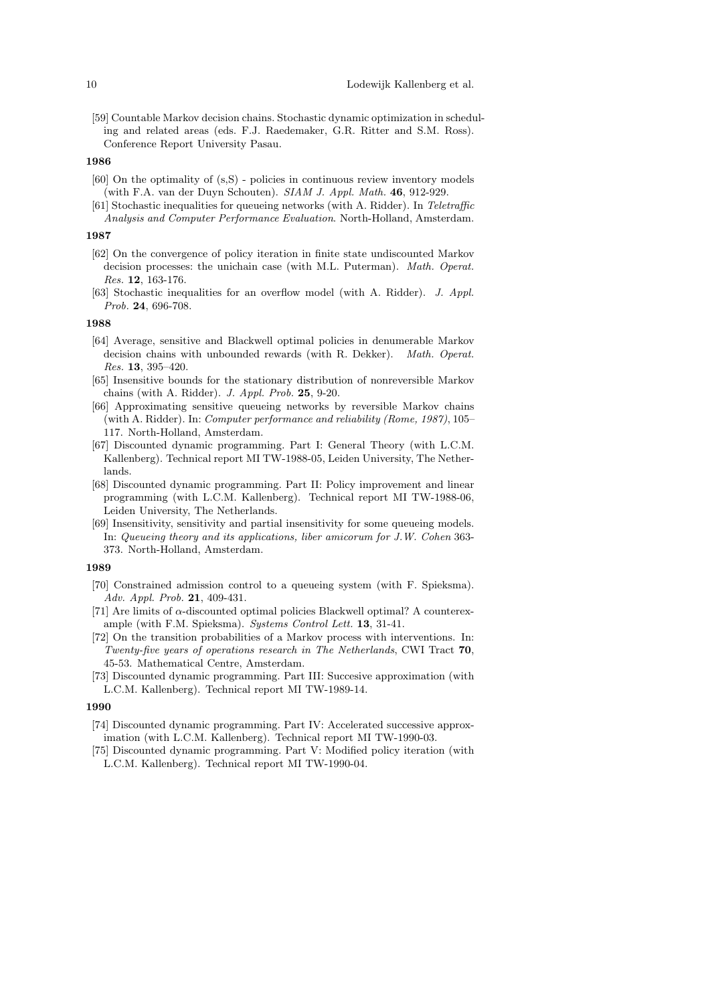[59] Countable Markov decision chains. Stochastic dynamic optimization in scheduling and related areas (eds. F.J. Raedemaker, G.R. Ritter and S.M. Ross). Conference Report University Pasau.

## 1986

- [60] On the optimality of (s,S) policies in continuous review inventory models (with F.A. van der Duyn Schouten). SIAM J. Appl. Math. 46, 912-929.
- [61] Stochastic inequalities for queueing networks (with A. Ridder). In Teletraffic Analysis and Computer Performance Evaluation. North-Holland, Amsterdam.

#### 1987

- [62] On the convergence of policy iteration in finite state undiscounted Markov decision processes: the unichain case (with M.L. Puterman). Math. Operat. Res. 12, 163-176.
- [63] Stochastic inequalities for an overflow model (with A. Ridder). J. Appl. Prob. 24, 696-708.

## 1988

- [64] Average, sensitive and Blackwell optimal policies in denumerable Markov decision chains with unbounded rewards (with R. Dekker). Math. Operat. Res. 13, 395–420.
- [65] Insensitive bounds for the stationary distribution of nonreversible Markov chains (with A. Ridder). J. Appl. Prob. 25, 9-20.
- [66] Approximating sensitive queueing networks by reversible Markov chains (with A. Ridder). In: Computer performance and reliability (Rome, 1987), 105– 117. North-Holland, Amsterdam.
- [67] Discounted dynamic programming. Part I: General Theory (with L.C.M. Kallenberg). Technical report MI TW-1988-05, Leiden University, The Netherlands.
- [68] Discounted dynamic programming. Part II: Policy improvement and linear programming (with L.C.M. Kallenberg). Technical report MI TW-1988-06, Leiden University, The Netherlands.
- [69] Insensitivity, sensitivity and partial insensitivity for some queueing models. In: Queueing theory and its applications, liber amicorum for J.W. Cohen 363- 373. North-Holland, Amsterdam.

#### 1989

- [70] Constrained admission control to a queueing system (with F. Spieksma). Adv. Appl. Prob. 21, 409-431.
- [71] Are limits of  $\alpha$ -discounted optimal policies Blackwell optimal? A counterexample (with F.M. Spieksma). Systems Control Lett. 13, 31-41.
- [72] On the transition probabilities of a Markov process with interventions. In: Twenty-five years of operations research in The Netherlands, CWI Tract 70, 45-53. Mathematical Centre, Amsterdam.
- [73] Discounted dynamic programming. Part III: Succesive approximation (with L.C.M. Kallenberg). Technical report MI TW-1989-14.

- [74] Discounted dynamic programming. Part IV: Accelerated successive approximation (with L.C.M. Kallenberg). Technical report MI TW-1990-03.
- [75] Discounted dynamic programming. Part V: Modified policy iteration (with L.C.M. Kallenberg). Technical report MI TW-1990-04.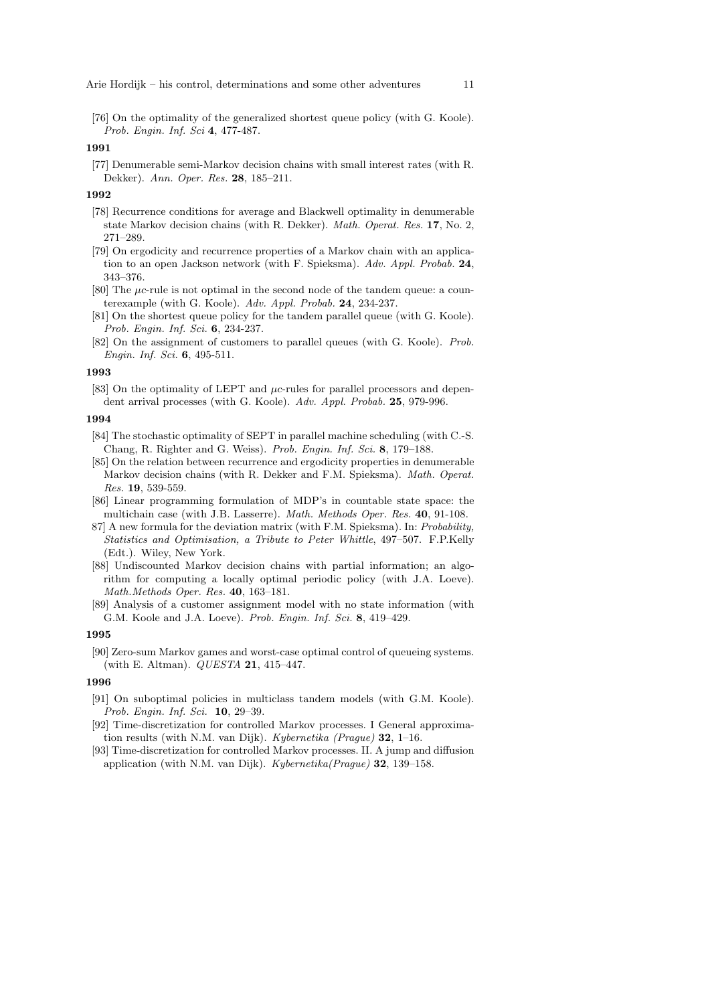[76] On the optimality of the generalized shortest queue policy (with G. Koole). Prob. Engin. Inf. Sci 4, 477-487.

## 1991

[77] Denumerable semi-Markov decision chains with small interest rates (with R. Dekker). Ann. Oper. Res. 28, 185–211.

## 1992

- [78] Recurrence conditions for average and Blackwell optimality in denumerable state Markov decision chains (with R. Dekker). Math. Operat. Res. 17, No. 2, 271–289.
- [79] On ergodicity and recurrence properties of a Markov chain with an application to an open Jackson network (with F. Spieksma). Adv. Appl. Probab. 24, 343–376.
- [80] The µc-rule is not optimal in the second node of the tandem queue: a counterexample (with G. Koole). Adv. Appl. Probab. 24, 234-237.
- [81] On the shortest queue policy for the tandem parallel queue (with G. Koole). Prob. Engin. Inf. Sci. 6, 234-237.
- [82] On the assignment of customers to parallel queues (with G. Koole). Prob. Engin. Inf. Sci. 6, 495-511.

## 1993

[83] On the optimality of LEPT and  $\mu$ c-rules for parallel processors and dependent arrival processes (with G. Koole). Adv. Appl. Probab. 25, 979-996.

#### 1994

- [84] The stochastic optimality of SEPT in parallel machine scheduling (with C.-S. Chang, R. Righter and G. Weiss). Prob. Engin. Inf. Sci. 8, 179–188.
- [85] On the relation between recurrence and ergodicity properties in denumerable Markov decision chains (with R. Dekker and F.M. Spieksma). Math. Operat. Res. 19, 539-559.
- [86] Linear programming formulation of MDP's in countable state space: the multichain case (with J.B. Lasserre). Math. Methods Oper. Res. 40, 91-108.
- 87] A new formula for the deviation matrix (with F.M. Spieksma). In: Probability, Statistics and Optimisation, a Tribute to Peter Whittle, 497–507. F.P.Kelly (Edt.). Wiley, New York.
- [88] Undiscounted Markov decision chains with partial information; an algorithm for computing a locally optimal periodic policy (with J.A. Loeve). Math.Methods Oper. Res. 40, 163–181.
- [89] Analysis of a customer assignment model with no state information (with G.M. Koole and J.A. Loeve). Prob. Engin. Inf. Sci. 8, 419–429.

## 1995

[90] Zero-sum Markov games and worst-case optimal control of queueing systems. (with E. Altman).  $QUESTA$  21, 415-447.

- [91] On suboptimal policies in multiclass tandem models (with G.M. Koole). Prob. Engin. Inf. Sci. 10, 29–39.
- [92] Time-discretization for controlled Markov processes. I General approximation results (with N.M. van Dijk). Kybernetika (Prague) 32, 1–16.
- [93] Time-discretization for controlled Markov processes. II. A jump and diffusion application (with N.M. van Dijk). Kybernetika(Prague) 32, 139–158.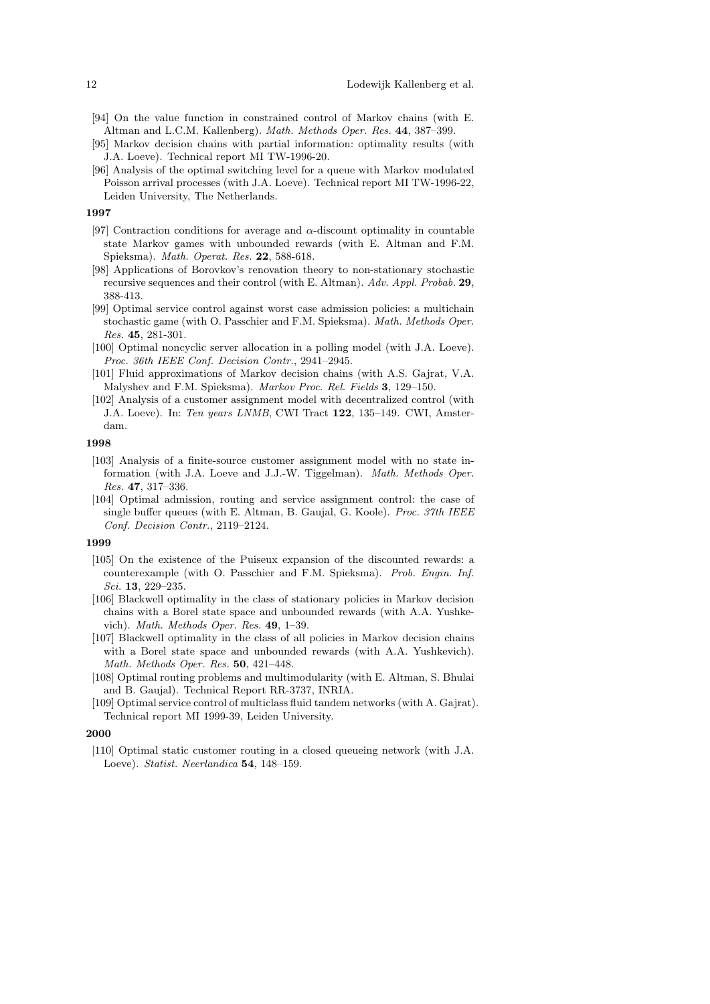- [94] On the value function in constrained control of Markov chains (with E. Altman and L.C.M. Kallenberg). Math. Methods Oper. Res. 44, 387–399.
- [95] Markov decision chains with partial information: optimality results (with J.A. Loeve). Technical report MI TW-1996-20.
- [96] Analysis of the optimal switching level for a queue with Markov modulated Poisson arrival processes (with J.A. Loeve). Technical report MI TW-1996-22, Leiden University, The Netherlands.

- [97] Contraction conditions for average and  $\alpha$ -discount optimality in countable state Markov games with unbounded rewards (with E. Altman and F.M. Spieksma). Math. Operat. Res. 22, 588-618.
- [98] Applications of Borovkov's renovation theory to non-stationary stochastic recursive sequences and their control (with E. Altman). Adv. Appl. Probab. 29, 388-413.
- [99] Optimal service control against worst case admission policies: a multichain stochastic game (with O. Passchier and F.M. Spieksma). Math. Methods Oper. Res. 45, 281-301.
- [100] Optimal noncyclic server allocation in a polling model (with J.A. Loeve). Proc. 36th IEEE Conf. Decision Contr., 2941–2945.
- [101] Fluid approximations of Markov decision chains (with A.S. Gajrat, V.A. Malyshev and F.M. Spieksma). Markov Proc. Rel. Fields 3, 129–150.
- [102] Analysis of a customer assignment model with decentralized control (with J.A. Loeve). In: Ten years LNMB, CWI Tract 122, 135–149. CWI, Amsterdam.

#### 1998

- [103] Analysis of a finite-source customer assignment model with no state information (with J.A. Loeve and J.J.-W. Tiggelman). Math. Methods Oper. Res. 47, 317–336.
- [104] Optimal admission, routing and service assignment control: the case of single buffer queues (with E. Altman, B. Gaujal, G. Koole). Proc. 37th IEEE Conf. Decision Contr., 2119–2124.

# 1999

- [105] On the existence of the Puiseux expansion of the discounted rewards: a counterexample (with O. Passchier and F.M. Spieksma). Prob. Engin. Inf. Sci. 13, 229–235.
- [106] Blackwell optimality in the class of stationary policies in Markov decision chains with a Borel state space and unbounded rewards (with A.A. Yushkevich). Math. Methods Oper. Res. 49, 1–39.
- [107] Blackwell optimality in the class of all policies in Markov decision chains with a Borel state space and unbounded rewards (with A.A. Yushkevich). Math. Methods Oper. Res. 50, 421–448.
- [108] Optimal routing problems and multimodularity (with E. Altman, S. Bhulai and B. Gaujal). Technical Report RR-3737, INRIA.
- [109] Optimal service control of multiclass fluid tandem networks (with A. Gajrat). Technical report MI 1999-39, Leiden University.

## 2000

[110] Optimal static customer routing in a closed queueing network (with J.A. Loeve). Statist. Neerlandica 54, 148–159.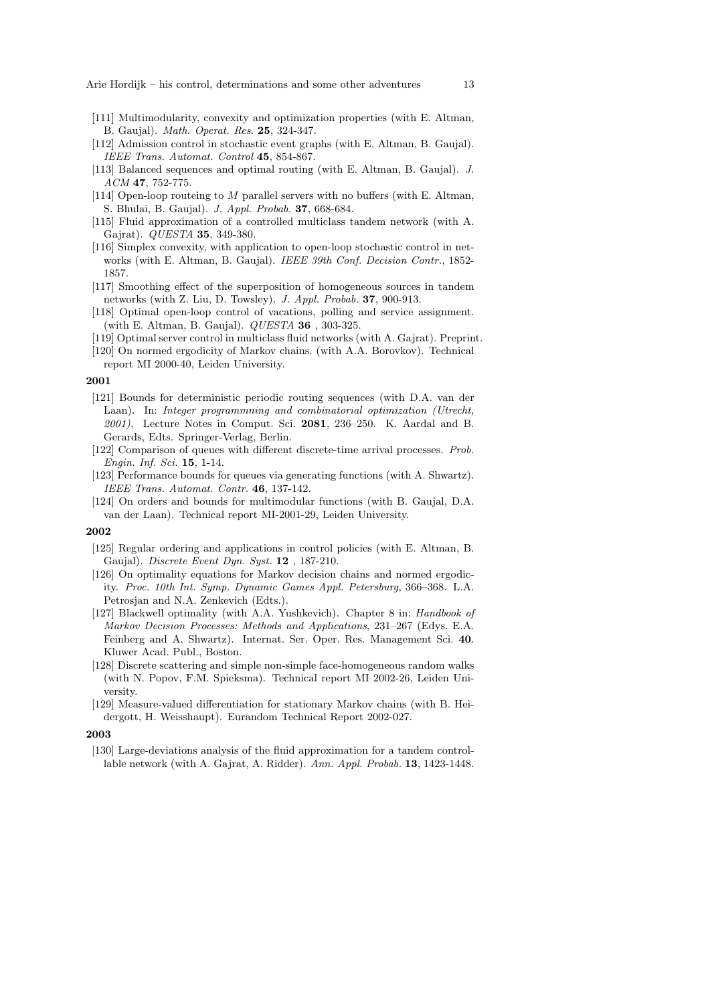- [111] Multimodularity, convexity and optimization properties (with E. Altman, B. Gaujal). Math. Operat. Res. 25, 324-347.
- [112] Admission control in stochastic event graphs (with E. Altman, B. Gaujal). IEEE Trans. Automat. Control 45, 854-867.
- [113] Balanced sequences and optimal routing (with E. Altman, B. Gaujal). J. ACM 47, 752-775.
- [114] Open-loop routeing to M parallel servers with no buffers (with E. Altman, S. Bhulai, B. Gaujal). J. Appl. Probab. 37, 668-684.
- [115] Fluid approximation of a controlled multiclass tandem network (with A. Gajrat). QUESTA 35, 349-380.
- [116] Simplex convexity, with application to open-loop stochastic control in networks (with E. Altman, B. Gaujal). *IEEE 39th Conf. Decision Contr.*, 1852-1857.
- [117] Smoothing effect of the superposition of homogeneous sources in tandem networks (with Z. Liu, D. Towsley). J. Appl. Probab. 37, 900-913.
- [118] Optimal open-loop control of vacations, polling and service assignment. (with E. Altman, B. Gaujal). QUESTA 36 , 303-325.
- [119] Optimal server control in multiclass fluid networks (with A. Gajrat). Preprint.
- [120] On normed ergodicity of Markov chains. (with A.A. Borovkov). Technical report MI 2000-40, Leiden University.

- [121] Bounds for deterministic periodic routing sequences (with D.A. van der Laan). In: Integer programmning and combinatorial optimization (Utrecht, 2001), Lecture Notes in Comput. Sci. 2081, 236–250. K. Aardal and B. Gerards, Edts. Springer-Verlag, Berlin.
- [122] Comparison of queues with different discrete-time arrival processes. Prob. Engin. Inf. Sci. 15, 1-14.
- [123] Performance bounds for queues via generating functions (with A. Shwartz). IEEE Trans. Automat. Contr. 46, 137-142.
- [124] On orders and bounds for multimodular functions (with B. Gaujal, D.A. van der Laan). Technical report MI-2001-29, Leiden University.

#### 2002

- [125] Regular ordering and applications in control policies (with E. Altman, B. Gaujal). Discrete Event Dyn. Syst. 12, 187-210.
- [126] On optimality equations for Markov decision chains and normed ergodicity. Proc. 10th Int. Symp. Dynamic Games Appl. Petersburg, 366–368. L.A. Petrosjan and N.A. Zenkevich (Edts.).
- [127] Blackwell optimality (with A.A. Yushkevich). Chapter 8 in: Handbook of Markov Decision Processes: Methods and Applications, 231–267 (Edys. E.A. Feinberg and A. Shwartz). Internat. Ser. Oper. Res. Management Sci. 40. Kluwer Acad. Publ., Boston.
- [128] Discrete scattering and simple non-simple face-homogeneous random walks (with N. Popov, F.M. Spieksma). Technical report MI 2002-26, Leiden University.
- [129] Measure-valued differentiation for stationary Markov chains (with B. Heidergott, H. Weisshaupt). Eurandom Technical Report 2002-027.

2003

[130] Large-deviations analysis of the fluid approximation for a tandem controllable network (with A. Gajrat, A. Ridder). Ann. Appl. Probab. 13, 1423-1448.